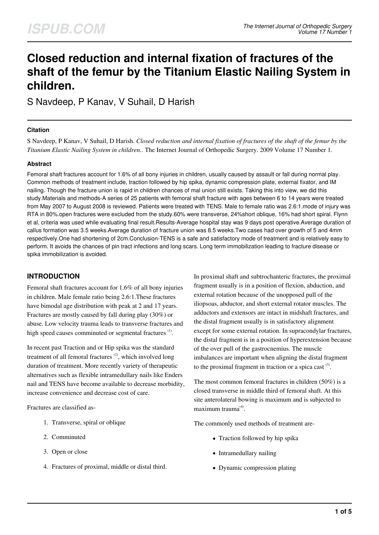# **Closed reduction and internal fixation of fractures of the shaft of the femur by the Titanium Elastic Nailing System in children.**

S Navdeep, P Kanav, V Suhail, D Harish

### **Citation**

S Navdeep, P Kanav, V Suhail, D Harish. *Closed reduction and internal fixation of fractures of the shaft of the femur by the Titanium Elastic Nailing System in children.*. The Internet Journal of Orthopedic Surgery. 2009 Volume 17 Number 1.

### **Abstract**

Femoral shaft fractures account for 1.6% of all bony injuries in children, usually caused by assault or fall during normal play. Common methods of treatment include, traction followed by hip spika, dynamic compression plate, external fixator, and IM nailing. Though the fracture union is rapid in children chances of mal union still exists. Taking this into view, we did this study.Materials and methods-A series of 25 patients with femoral shaft fracture with ages between 6 to 14 years were treated from May 2007 to August 2008 is reviewed. Patients were treated with TENS. Male to female ratio was 2.6:1.mode of injury was RTA in 80%.open fractures were excluded from the study.60% were transverse, 24%short oblique, 16% had short spiral. Flynn et al, criteria was used while evaluating final result.Results-Average hospital stay was 9 days post operative.Average duration of callus formation was 3.5 weeks.Average duration of fracture union was 8.5 weeks.Two cases had over growth of 5 and 4mm respectively.One had shortening of 2cm.Conclusion-TENS is a safe and satisfactory mode of treatment and is relatively easy to perform. It avoids the chances of pin tract infections and long scars. Long term immobilization leading to fracture disease or spika immobilization is avoided.

# **INTRODUCTION**

Femoral shaft fractures account for 1.6% of all bony injuries in children. Male female ratio being 2.6:1.These fractures have bimodal age distribution with peak at 2 and 17 years. Fractures are mostly caused by fall during play (30%) or abuse. Low velocity trauma leads to transverse fractures and high speed causes comminuted or segmental fractures <sup>(1)</sup>.

In recent past Traction and or Hip spika was the standard treatment of all femoral fractures  $(2)$ , which involved long duration of treatment. More recently variety of therapeutic alternatives such as flexible intramedullary nails like Enders nail and TENS have become available to decrease morbidity, increase convenience and decrease cost of care.

Fractures are classified as-

- 1. Transverse, spiral or oblique
- 2. Comminuted
- 3. Open or close
- 4. Fractures of proximal, middle or distal third.

In proximal shaft and subtrochanteric fractures, the proximal fragment usually is in a position of flexion, abduction, and external rotation because of the unopposed pull of the iliopsoas, abductor, and short external rotator muscles. The adductors and extensors are intact in midshaft fractures, and the distal fragment usually is in satisfactory alignment except for some external rotation. In supracondylar fractures, the distal fragment is in a position of hyperextension because of the over pull of the gastrocnemius. The muscle imbalances are important when aligning the distal fragment to the proximal fragment in traction or a spica cast  $(3)$ .

The most common femoral fractures in children (50%) is a closed transverse in middle third of femoral shaft. At this site anterolateral bowing is maximum and is subjected to maximum trauma<sup>(4)</sup>.

The commonly used methods of treatment are-

- Traction followed by hip spika
- Intramedullary nailing
- Dynamic compression plating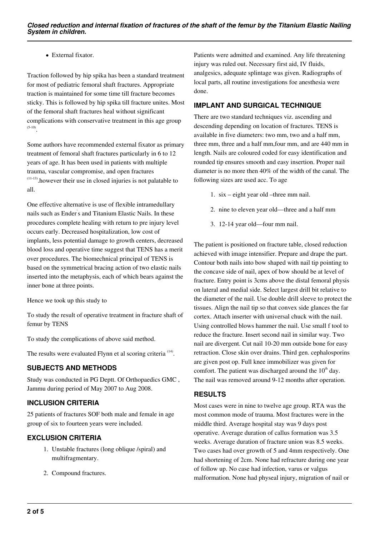### • External fixator.

Traction followed by hip spika has been a standard treatment for most of pediatric femoral shaft fractures. Appropriate traction is maintained for some time till fracture becomes sticky. This is followed by hip spika till fracture unites. Most of the femoral shaft fractures heal without significant complications with conservative treatment in this age group (5-10) .

Some authors have recommended external fixator as primary treatment of femoral shaft fractures particularly in 6 to 12 years of age. It has been used in patients with multiple trauma, vascular compromise, and open fractures (11-13).however their use in closed injuries is not palatable to all.

One effective alternative is use of flexible intramedullary nails such as Ender' s and Titanium Elastic Nails. In these procedures complete healing with return to pre injury level occurs early. Decreased hospitalization, low cost of implants, less potential damage to growth centers, decreased blood loss and operative time suggest that TENS has a merit over procedures. The biomechnical principal of TENS is based on the symmetrical bracing action of two elastic nails inserted into the metaphysis, each of which bears against the inner bone at three points.

Hence we took up this study to

To study the result of operative treatment in fracture shaft of femur by TENS

To study the complications of above said method.

The results were evaluated Flynn et al scoring criteria<sup>(14)</sup>.

### **SUBJECTS AND METHODS**

Study was conducted in PG Deptt. Of Orthopaedics GMC , Jammu during period of May 2007 to Aug 2008.

### **INCLUSION CRITERIA**

25 patients of fractures SOF both male and female in age group of six to fourteen years were included.

### **EXCLUSION CRITERIA**

- 1. Unstable fractures (long oblique /spiral) and multifragmentary.
- 2. Compound fractures.

Patients were admitted and examined. Any life threatening injury was ruled out. Necessary first aid, IV fluids, analgesics, adequate splintage was given. Radiographs of local parts, all routine investigations foe anesthesia were done.

### **IMPLANT AND SURGICAL TECHNIQUE**

There are two standard techniques viz. ascending and descending depending on location of fractures. TENS is available in five diameters: two mm, two and a half mm, three mm, three and a half mm,four mm, and are 440 mm in length. Nails are coloured coded for easy identification and rounded tip ensures smooth and easy insertion. Proper nail diameter is no more then 40% of the width of the canal. The following sizes are used acc. To age

- 1. six eight year old –three mm nail.
- 2. nine to eleven year old—three and a half mm
- 3. 12-14 year old—four mm nail.

The patient is positioned on fracture table, closed reduction achieved with image intensifier. Prepare and drape the part. Contour both nails into bow shaped with nail tip pointing to the concave side of nail, apex of bow should be at level of fracture. Entry point is 3cms above the distal femoral physis on lateral and medial side. Select largest drill bit relative to the diameter of the nail. Use double drill sleeve to protect the tissues. Align the nail tip so that convex side glances the far cortex. Attach inserter with universal chuck with the nail. Using controlled blows hammer the nail. Use small f tool to reduce the fracture. Insert second nail in similar way. Two nail are divergent. Cut nail 10-20 mm outside bone for easy retraction. Close skin over drains. Third gen. cephalosporins are given post op. Full knee immobilizer was given for comfort. The patient was discharged around the  $10<sup>th</sup>$  day. The nail was removed around 9-12 months after operation.

### **RESULTS**

Most cases were in nine to twelve age group. RTA was the most common mode of trauma. Most fractures were in the middle third. Average hospital stay was 9 days post operative. Average duration of callus formation was 3.5 weeks. Average duration of fracture union was 8.5 weeks. Two cases had over growth of 5 and 4mm respectively. One had shortening of 2cm. None had refracture during one year of follow up. No case had infection, varus or valgus malformation. None had physeal injury, migration of nail or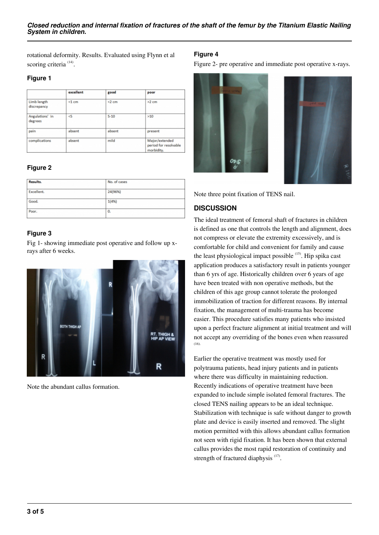rotational deformity. Results. Evaluated using Flynn et al scoring criteria<sup>(14)</sup>.

### **Figure 1**

|                            | excellent | good     | poor                                                  |  |
|----------------------------|-----------|----------|-------------------------------------------------------|--|
| Limb length<br>discrepancy | $<1$ cm   | $<$ 2 cm | $>2$ cm                                               |  |
| Angulations' in<br>degrees | $\leq$    | $5 - 10$ | >10                                                   |  |
| pain                       | absent    | absent   | present                                               |  |
| complications<br>absent    |           | mild     | Major/extended<br>period for resolvable<br>morbidity. |  |

# **Figure 2**

| Results.   | No. of cases |  |
|------------|--------------|--|
| Excellent. | 24(96%)      |  |
| Good.      | 1(4%)        |  |
| Poor.      | 0.           |  |

## **Figure 3**

Fig 1- showing immediate post operative and follow up xrays after 6 weeks.



Note the abundant callus formation.

### **Figure 4**

Figure 2- pre operative and immediate post operative x-rays.



Note three point fixation of TENS nail.

# **DISCUSSION**

The ideal treatment of femoral shaft of fractures in children is defined as one that controls the length and alignment, does not compress or elevate the extremity excessively, and is comfortable for child and convenient for family and cause the least physiological impact possible  $(15)$ . Hip spika cast application produces a satisfactory result in patients younger than 6 yrs of age. Historically children over 6 years of age have been treated with non operative methods, but the children of this age group cannot tolerate the prolonged immobilization of traction for different reasons. By internal fixation, the management of multi-trauma has become easier. This procedure satisfies many patients who insisted upon a perfect fracture alignment at initial treatment and will not accept any overriding of the bones even when reassured (16).

Earlier the operative treatment was mostly used for polytrauma patients, head injury patients and in patients where there was difficulty in maintaining reduction. Recently indications of operative treatment have been expanded to include simple isolated femoral fractures. The closed TENS nailing appears to be an ideal technique. Stabilization with technique is safe without danger to growth plate and device is easily inserted and removed. The slight motion permitted with this allows abundant callus formation not seen with rigid fixation. It has been shown that external callus provides the most rapid restoration of continuity and strength of fractured diaphysis  $(17)$ .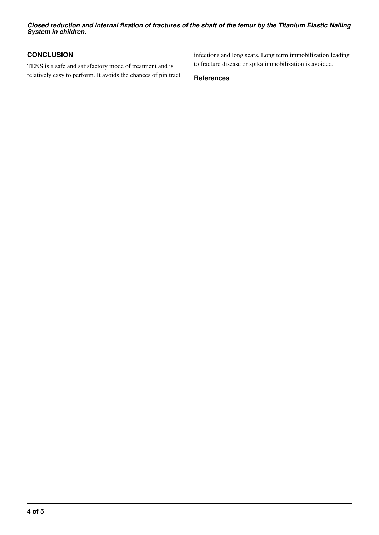*Closed reduction and internal fixation of fractures of the shaft of the femur by the Titanium Elastic Nailing System in children.*

## **CONCLUSION**

TENS is a safe and satisfactory mode of treatment and is relatively easy to perform. It avoids the chances of pin tract infections and long scars. Long term immobilization leading to fracture disease or spika immobilization is avoided.

**References**